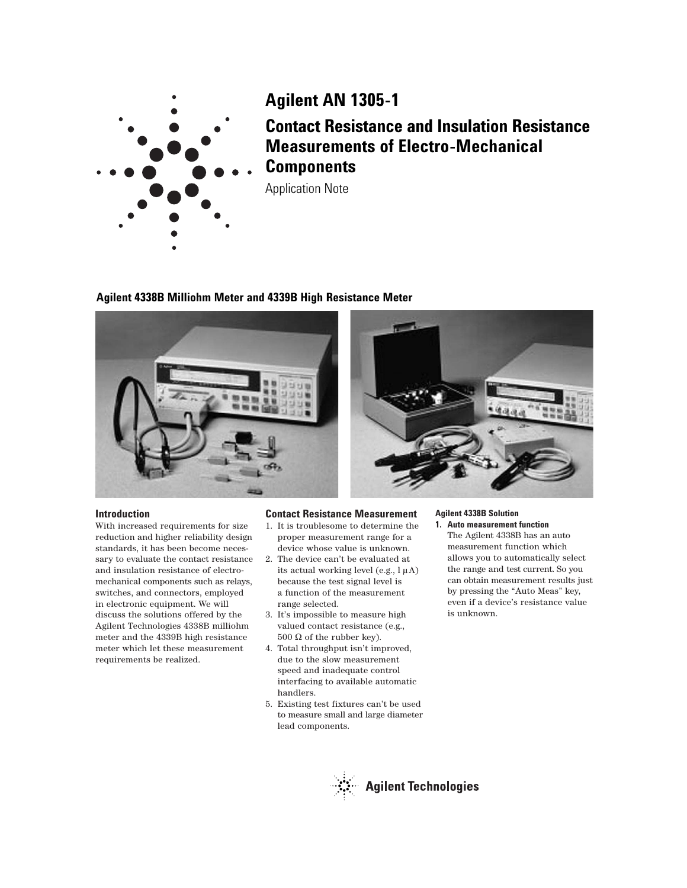

# **Agilent 4338B Milliohm Meter and 4339B High Resistance Meter**



### **Introduction**

With increased requirements for size reduction and higher reliability design standards, it has been become necessary to evaluate the contact resistance and insulation resistance of electromechanical components such as relays, switches, and connectors, employed in electronic equipment. We will discuss the solutions offered by the Agilent Technologies 4338B milliohm meter and the 4339B high resistance meter which let these measurement requirements be realized.

## **Contact Resistance Measurement**

- 1. It is troublesome to determine the proper measurement range for a device whose value is unknown.
- 2. The device can't be evaluated at its actual working level (e.g.,  $l \mu A$ ) because the test signal level is a function of the measurement range selected.
- 3. It's impossible to measure high valued contact resistance (e.g., 500  $\Omega$  of the rubber key).
- 4. Total throughput isn't improved, due to the slow measurement speed and inadequate control interfacing to available automatic handlers.
- 5. Existing test fixtures can't be used to measure small and large diameter lead components.

### **Agilent 4338B Solution 1. Auto measurement function**

The Agilent 4338B has an auto measurement function which allows you to automatically select the range and test current. So you can obtain measurement results just by pressing the "Auto Meas" key, even if a device's resistance value is unknown.